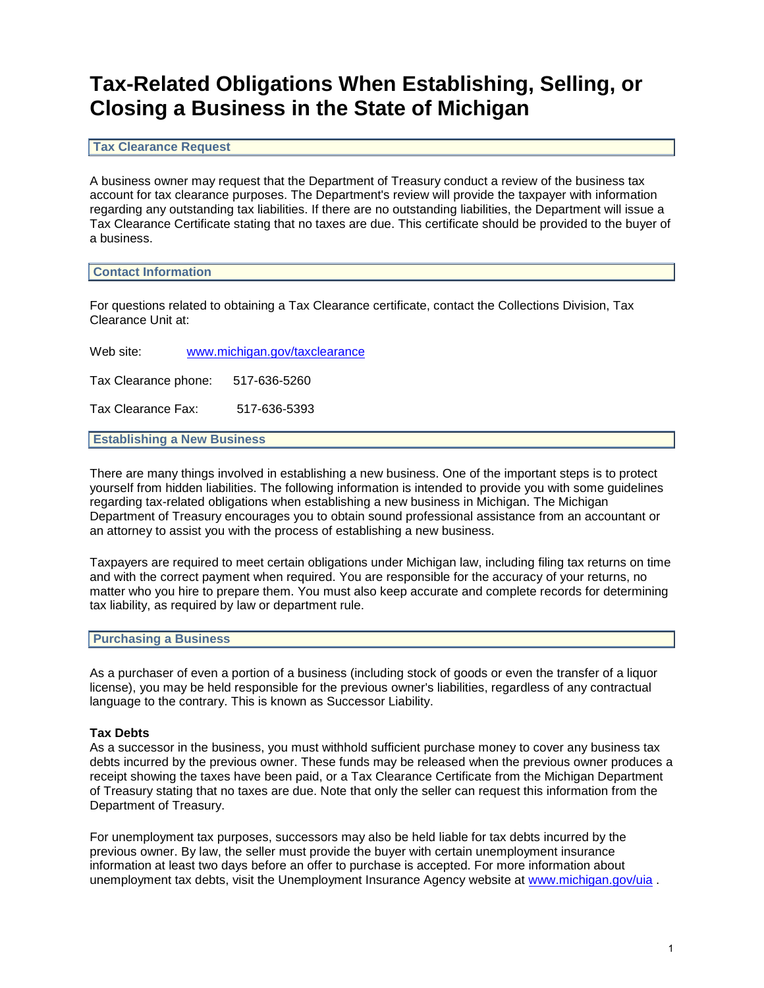# **Tax-Related Obligations When Establishing, Selling, or Closing a Business in the State of Michigan**

**Tax Clearance Request**

A business owner may request that the Department of Treasury conduct a review of the business tax account for tax clearance purposes. The Department's review will provide the taxpayer with information regarding any outstanding tax liabilities. If there are no outstanding liabilities, the Department will issue a Tax Clearance Certificate stating that no taxes are due. This certificate should be provided to the buyer of a business.

# **Contact Information**

For questions related to obtaining a Tax Clearance certificate, contact the Collections Division, Tax Clearance Unit at:

Web site: www.michigan.gov/taxclearance

Tax Clearance phone: 517-636-5260

Tax Clearance Fax: 517-636-5393

**Establishing a New Business**

There are many things involved in establishing a new business. One of the important steps is to protect yourself from hidden liabilities. The following information is intended to provide you with some guidelines regarding tax-related obligations when establishing a new business in Michigan. The Michigan Department of Treasury encourages you to obtain sound professional assistance from an accountant or an attorney to assist you with the process of establishing a new business.

Taxpayers are required to meet certain obligations under Michigan law, including filing tax returns on time and with the correct payment when required. You are responsible for the accuracy of your returns, no matter who you hire to prepare them. You must also keep accurate and complete records for determining tax liability, as required by law or department rule.

# **Purchasing a Business**

As a purchaser of even a portion of a business (including stock of goods or even the transfer of a liquor license), you may be held responsible for the previous owner's liabilities, regardless of any contractual language to the contrary. This is known as Successor Liability.

**Tax Debts**<br>As a successor in the business, you must withhold sufficient purchase money to cover any business tax debts incurred by the previous owner. These funds may be released when the previous owner produces a receipt showing the taxes have been paid, or a Tax Clearance Certificate from the Michigan Department of Treasury stating that no taxes are due. Note that only the seller can request this information from the Department of Treasury.

For unemployment tax purposes, successors may also be held liable for tax debts incurred by the previous owner. By law, the seller must provide the buyer with certain unemployment insurance information at least two days before an offer to purchase is accepted. For more information about unemployment tax debts, visit the Unemployment Insurance Agency website at www.michigan.gov/uia .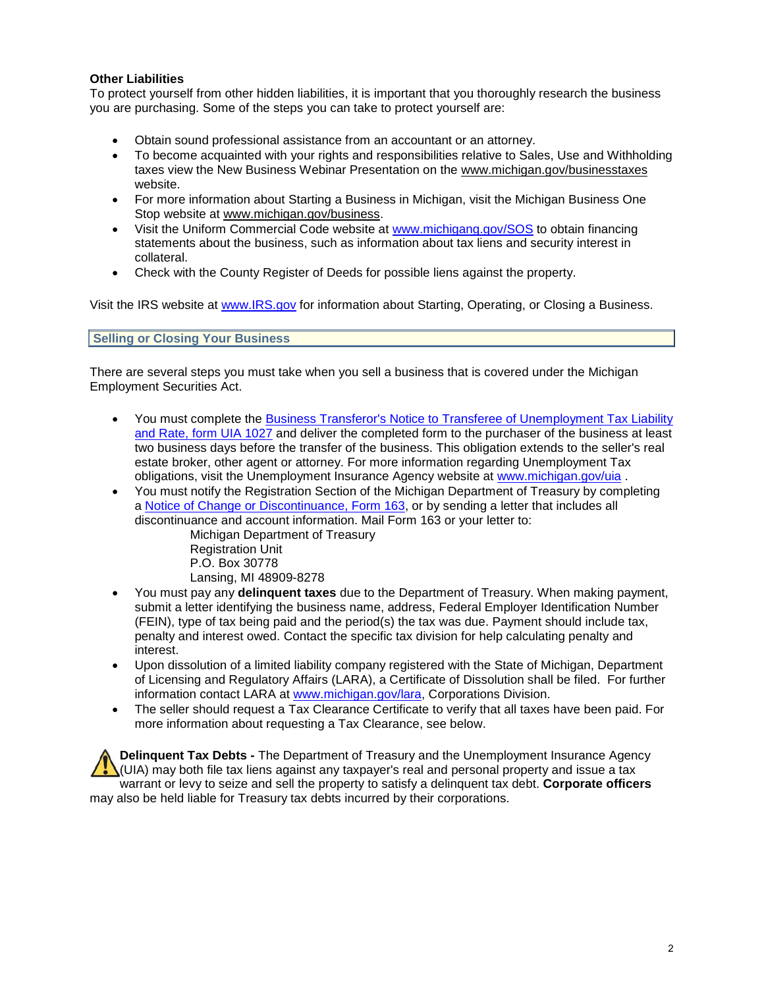**Other Liabilities**<br>To protect yourself from other hidden liabilities, it is important that you thoroughly research the business you are purchasing. Some of the steps you can take to protect yourself are:

- Obtain sound professional assistance from an accountant or an attorney.
- To become acquainted with your rights and responsibilities relative to Sales, Use and Withholding taxes view the New Business Webinar Presentation on the www.michigan.gov/businesstaxes website.
- For more information about Starting a Business in Michigan, visit the Michigan Business One Stop website at www.michigan.gov/business.
- Visit the Uniform Commercial Code website at www.michigang.gov/SOS to obtain financing statements about the business, such as information about tax liens and security interest in collateral.
- Check with the County Register of Deeds for possible liens against the property.

Visit the IRS website at www.IRS.gov for information about Starting, Operating, or Closing a Business.

# **Selling or Closing Your Business**

There are several steps you must take when you sell a business that is covered under the Michigan Employment Securities Act.

- You must complete the Business Transferor's Notice to Transferee of Unemployment Tax Liability and Rate, form UIA 1027 and deliver the completed form to the purchaser of the business at least two business days before the transfer of the business. This obligation extends to the seller's real estate broker, other agent or attorney. For more information regarding Unemployment Tax obligations, visit the Unemployment Insurance Agency website at www.michigan.gov/uia .
- You must notify the Registration Section of the Michigan Department of Treasury by completing a Notice of Change or Discontinuance, Form 163, or by sending a letter that includes all discontinuance and account information. Mail Form 163 or your letter to:

 Michigan Department of Treasury Registration Unit P.O. Box 30778 Lansing, MI 48909-8278

- You must pay any **delinquent taxes** due to the Department of Treasury. When making payment, submit a letter identifying the business name, address, Federal Employer Identification Number (FEIN), type of tax being paid and the period(s) the tax was due. Payment should include tax, penalty and interest owed. Contact the specific tax division for help calculating penalty and interest.
- Upon dissolution of a limited liability company registered with the State of Michigan, Department of Licensing and Regulatory Affairs (LARA), a Certificate of Dissolution shall be filed. For further information contact LARA at www.michigan.gov/lara, Corporations Division.
- The seller should request a Tax Clearance Certificate to verify that all taxes have been paid. For more information about requesting a Tax Clearance, see below.

**Delinquent Tax Debts -** The Department of Treasury and the Unemployment Insurance Agency  $\bigcup$  (UIA) may both file tax liens against any taxpayer's real and personal property and issue a tax warrant or levy to seize and sell the property to satisfy a delinquent tax debt. **Corporate officers** may also be held liable for Treasury tax debts incurred by their corporations.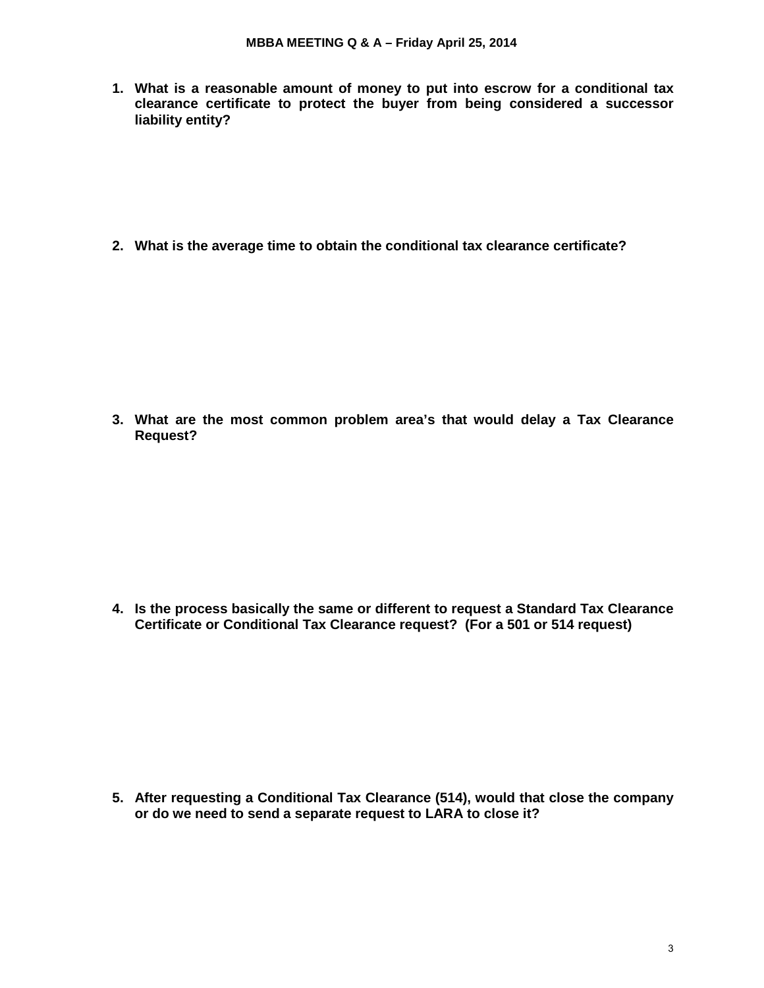**1. What is a reasonable amount of money to put into escrow for a conditional tax clearance certificate to protect the buyer from being considered a successor liability entity?**

**2. What is the average time to obtain the conditional tax clearance certificate?** 

**3. What are the most common problem area's that would delay a Tax Clearance Request?**

**4. Is the process basically the same or different to request a Standard Tax Clearance Certificate or Conditional Tax Clearance request? (For a 501 or 514 request)**

**5. After requesting a Conditional Tax Clearance (514), would that close the company or do we need to send a separate request to LARA to close it?**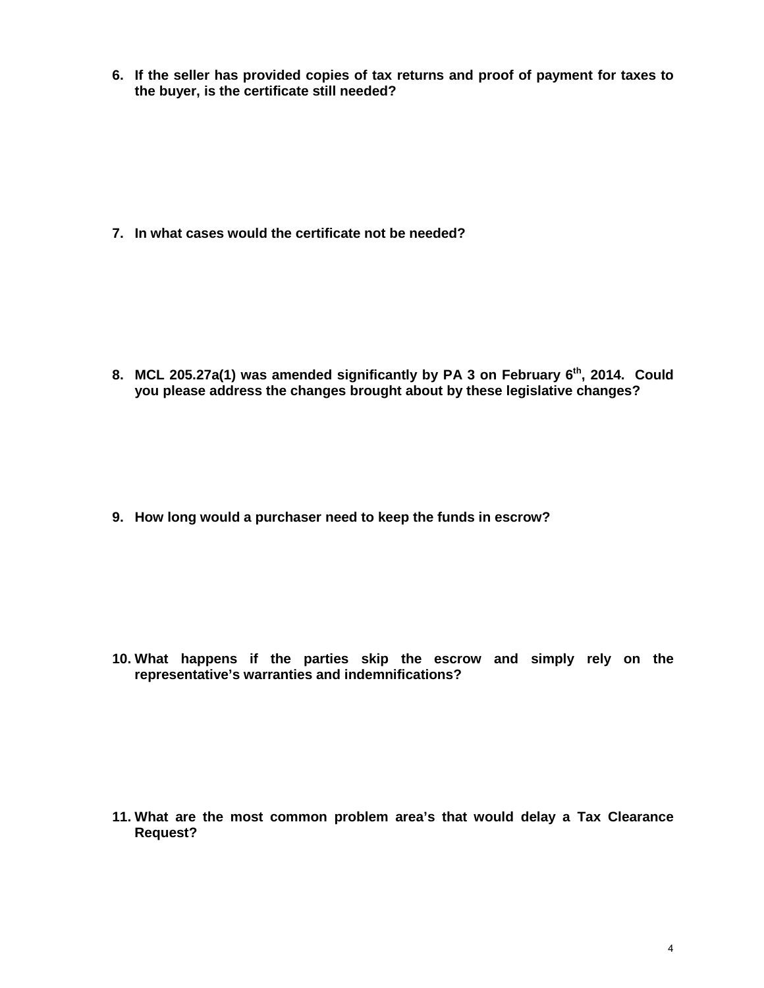**6. If the seller has provided copies of tax returns and proof of payment for taxes to the buyer, is the certificate still needed?**

**7. In what cases would the certificate not be needed?**

8. MCL 205.27a(1) was amended significantly by PA 3 on February 6<sup>th</sup>, 2014. Could **you please address the changes brought about by these legislative changes?** 

**9. How long would a purchaser need to keep the funds in escrow?**

**10. What happens if the parties skip the escrow and simply rely on the representative's warranties and indemnifications?**

**11. What are the most common problem area's that would delay a Tax Clearance Request?**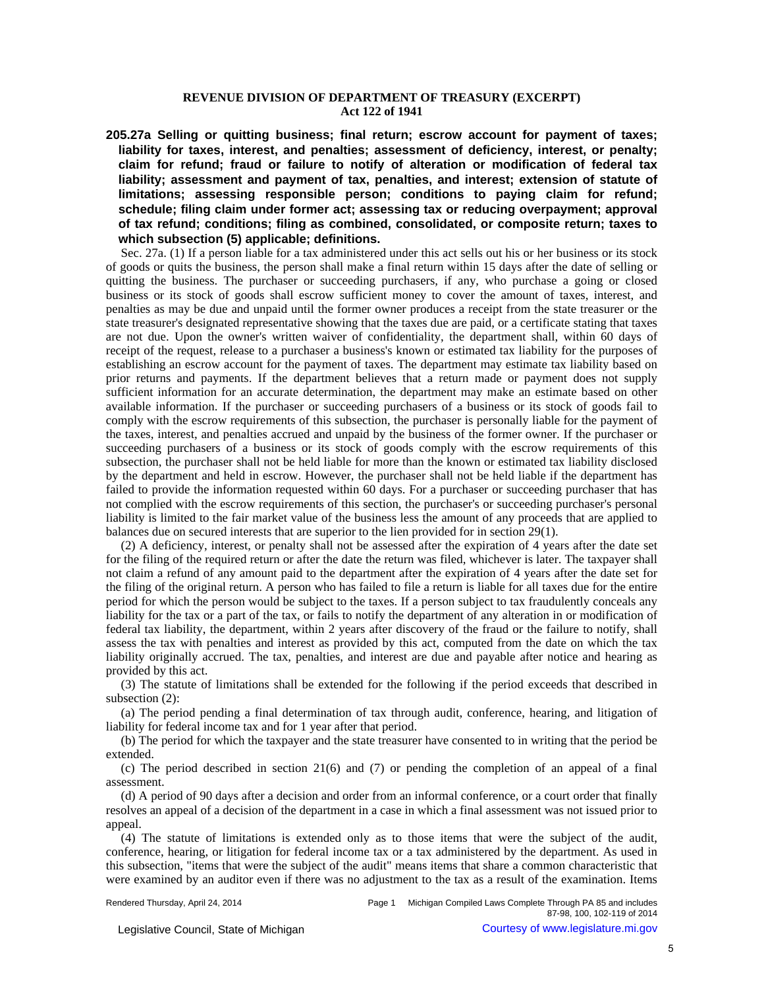# **REVENUE DIVISION OF DEPARTMENT OF TREASURY (EXCERPT) Act 122 of 1941**

**205.27a Selling or quitting business; final return; escrow account for payment of taxes; liability for taxes, interest, and penalties; assessment of deficiency, interest, or penalty; claim for refund; fraud or failure to notify of alteration or modification of federal tax liability; assessment and payment of tax, penalties, and interest; extension of statute of limitations; assessing responsible person; conditions to paying claim for refund; schedule; filing claim under former act; assessing tax or reducing overpayment; approval of tax refund; conditions; filing as combined, consolidated, or composite return; taxes to which subsection (5) applicable; definitions.**

Sec. 27a. (1) If a person liable for a tax administered under this act sells out his or her business or its stock of goods or quits the business, the person shall make a final return within 15 days after the date of selling or quitting the business. The purchaser or succeeding purchasers, if any, who purchase a going or closed business or its stock of goods shall escrow sufficient money to cover the amount of taxes, interest, and penalties as may be due and unpaid until the former owner produces a receipt from the state treasurer or the state treasurer's designated representative showing that the taxes due are paid, or a certificate stating that taxes are not due. Upon the owner's written waiver of confidentiality, the department shall, within 60 days of receipt of the request, release to a purchaser a business's known or estimated tax liability for the purposes of establishing an escrow account for the payment of taxes. The department may estimate tax liability based on prior returns and payments. If the department believes that a return made or payment does not supply sufficient information for an accurate determination, the department may make an estimate based on other available information. If the purchaser or succeeding purchasers of a business or its stock of goods fail to comply with the escrow requirements of this subsection, the purchaser is personally liable for the payment of the taxes, interest, and penalties accrued and unpaid by the business of the former owner. If the purchaser or succeeding purchasers of a business or its stock of goods comply with the escrow requirements of this subsection, the purchaser shall not be held liable for more than the known or estimated tax liability disclosed by the department and held in escrow. However, the purchaser shall not be held liable if the department has failed to provide the information requested within 60 days. For a purchaser or succeeding purchaser that has not complied with the escrow requirements of this section, the purchaser's or succeeding purchaser's personal liability is limited to the fair market value of the business less the amount of any proceeds that are applied to balances due on secured interests that are superior to the lien provided for in section 29(1).

(2) A deficiency, interest, or penalty shall not be assessed after the expiration of 4 years after the date set for the filing of the required return or after the date the return was filed, whichever is later. The taxpayer shall not claim a refund of any amount paid to the department after the expiration of 4 years after the date set for the filing of the original return. A person who has failed to file a return is liable for all taxes due for the entire period for which the person would be subject to the taxes. If a person subject to tax fraudulently conceals any liability for the tax or a part of the tax, or fails to notify the department of any alteration in or modification of federal tax liability, the department, within 2 years after discovery of the fraud or the failure to notify, shall assess the tax with penalties and interest as provided by this act, computed from the date on which the tax liability originally accrued. The tax, penalties, and interest are due and payable after notice and hearing as provided by this act.

(3) The statute of limitations shall be extended for the following if the period exceeds that described in subsection (2):

(a) The period pending a final determination of tax through audit, conference, hearing, and litigation of liability for federal income tax and for 1 year after that period.

(b) The period for which the taxpayer and the state treasurer have consented to in writing that the period be extended.

(c) The period described in section 21(6) and (7) or pending the completion of an appeal of a final assessment.

(d) A period of 90 days after a decision and order from an informal conference, or a court order that finally resolves an appeal of a decision of the department in a case in which a final assessment was not issued prior to appeal.

(4) The statute of limitations is extended only as to those items that were the subject of the audit, conference, hearing, or litigation for federal income tax or a tax administered by the department. As used in this subsection, "items that were the subject of the audit" means items that share a common characteristic that were examined by an auditor even if there was no adjustment to the tax as a result of the examination. Items

Legislative Council, State of Michigan Courtesy of www.legislature.mi.gov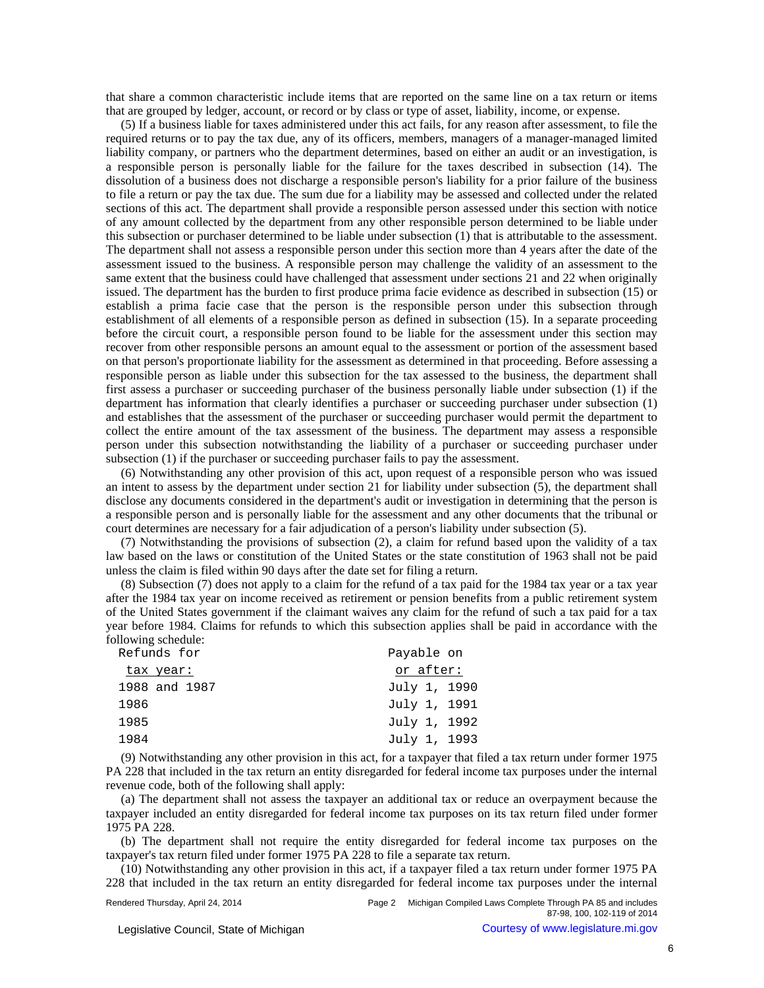that share a common characteristic include items that are reported on the same line on a tax return or items that are grouped by ledger, account, or record or by class or type of asset, liability, income, or expense.

(5) If a business liable for taxes administered under this act fails, for any reason after assessment, to file the required returns or to pay the tax due, any of its officers, members, managers of a manager-managed limited liability company, or partners who the department determines, based on either an audit or an investigation, is a responsible person is personally liable for the failure for the taxes described in subsection (14). The dissolution of a business does not discharge a responsible person's liability for a prior failure of the business to file a return or pay the tax due. The sum due for a liability may be assessed and collected under the related sections of this act. The department shall provide a responsible person assessed under this section with notice of any amount collected by the department from any other responsible person determined to be liable under this subsection or purchaser determined to be liable under subsection (1) that is attributable to the assessment. The department shall not assess a responsible person under this section more than 4 years after the date of the assessment issued to the business. A responsible person may challenge the validity of an assessment to the same extent that the business could have challenged that assessment under sections 21 and 22 when originally issued. The department has the burden to first produce prima facie evidence as described in subsection (15) or establish a prima facie case that the person is the responsible person under this subsection through establishment of all elements of a responsible person as defined in subsection (15). In a separate proceeding before the circuit court, a responsible person found to be liable for the assessment under this section may recover from other responsible persons an amount equal to the assessment or portion of the assessment based on that person's proportionate liability for the assessment as determined in that proceeding. Before assessing a responsible person as liable under this subsection for the tax assessed to the business, the department shall first assess a purchaser or succeeding purchaser of the business personally liable under subsection (1) if the department has information that clearly identifies a purchaser or succeeding purchaser under subsection (1) and establishes that the assessment of the purchaser or succeeding purchaser would permit the department to collect the entire amount of the tax assessment of the business. The department may assess a responsible person under this subsection notwithstanding the liability of a purchaser or succeeding purchaser under subsection (1) if the purchaser or succeeding purchaser fails to pay the assessment.

(6) Notwithstanding any other provision of this act, upon request of a responsible person who was issued an intent to assess by the department under section 21 for liability under subsection (5), the department shall disclose any documents considered in the department's audit or investigation in determining that the person is a responsible person and is personally liable for the assessment and any other documents that the tribunal or court determines are necessary for a fair adjudication of a person's liability under subsection (5).

(7) Notwithstanding the provisions of subsection (2), a claim for refund based upon the validity of a tax law based on the laws or constitution of the United States or the state constitution of 1963 shall not be paid unless the claim is filed within 90 days after the date set for filing a return.

(8) Subsection (7) does not apply to a claim for the refund of a tax paid for the 1984 tax year or a tax year after the 1984 tax year on income received as retirement or pension benefits from a public retirement system of the United States government if the claimant waives any claim for the refund of such a tax paid for a tax year before 1984. Claims for refunds to which this subsection applies shall be paid in accordance with the following schedule:

| Refunds for   | Payable on   |  |  |
|---------------|--------------|--|--|
| tax year:     | or after:    |  |  |
| 1988 and 1987 | July 1, 1990 |  |  |
| 1986          | July 1, 1991 |  |  |
| 1985          | July 1, 1992 |  |  |
| 1984          | July 1, 1993 |  |  |

(9) Notwithstanding any other provision in this act, for a taxpayer that filed a tax return under former 1975 PA 228 that included in the tax return an entity disregarded for federal income tax purposes under the internal revenue code, both of the following shall apply:

(a) The department shall not assess the taxpayer an additional tax or reduce an overpayment because the taxpayer included an entity disregarded for federal income tax purposes on its tax return filed under former 1975 PA 228.

(b) The department shall not require the entity disregarded for federal income tax purposes on the taxpayer's tax return filed under former 1975 PA 228 to file a separate tax return.

(10) Notwithstanding any other provision in this act, if a taxpayer filed a tax return under former 1975 PA 228 that included in the tax return an entity disregarded for federal income tax purposes under the internal

Legislative Council, State of Michigan Courtesy of www.legislature.mi.gov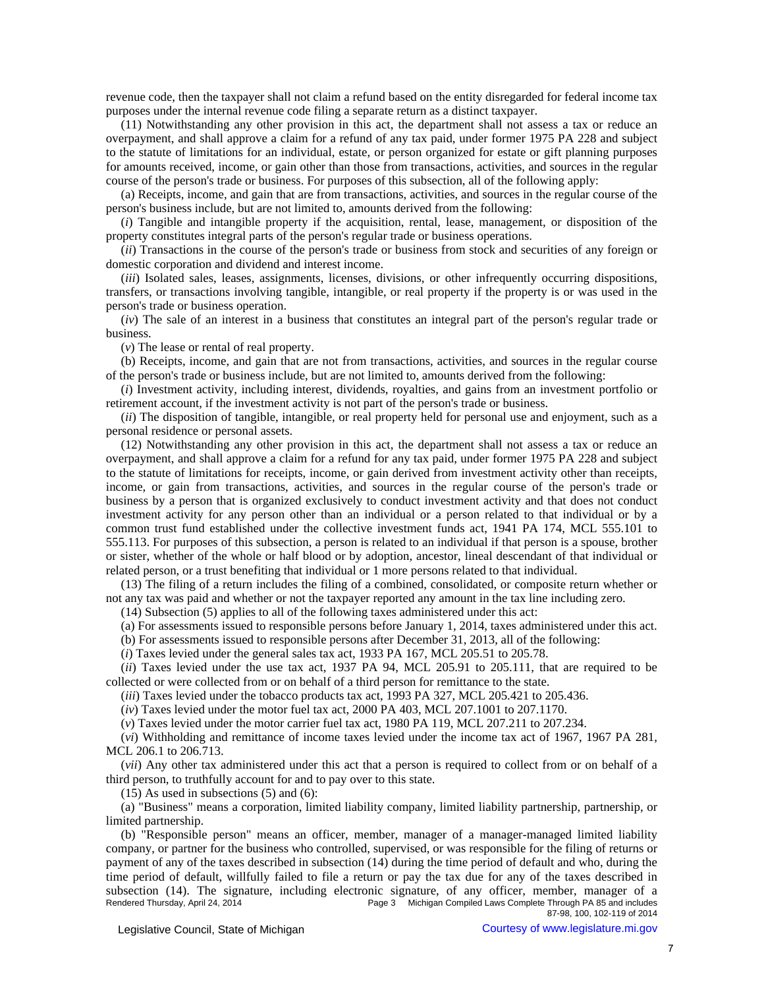revenue code, then the taxpayer shall not claim a refund based on the entity disregarded for federal income tax purposes under the internal revenue code filing a separate return as a distinct taxpayer.

(11) Notwithstanding any other provision in this act, the department shall not assess a tax or reduce an overpayment, and shall approve a claim for a refund of any tax paid, under former 1975 PA 228 and subject to the statute of limitations for an individual, estate, or person organized for estate or gift planning purposes for amounts received, income, or gain other than those from transactions, activities, and sources in the regular course of the person's trade or business. For purposes of this subsection, all of the following apply:

(a) Receipts, income, and gain that are from transactions, activities, and sources in the regular course of the person's business include, but are not limited to, amounts derived from the following:

(*i*) Tangible and intangible property if the acquisition, rental, lease, management, or disposition of the property constitutes integral parts of the person's regular trade or business operations.

(*ii*) Transactions in the course of the person's trade or business from stock and securities of any foreign or domestic corporation and dividend and interest income.

(*iii*) Isolated sales, leases, assignments, licenses, divisions, or other infrequently occurring dispositions, transfers, or transactions involving tangible, intangible, or real property if the property is or was used in the person's trade or business operation.

(*iv*) The sale of an interest in a business that constitutes an integral part of the person's regular trade or business.

(*v*) The lease or rental of real property.

(b) Receipts, income, and gain that are not from transactions, activities, and sources in the regular course of the person's trade or business include, but are not limited to, amounts derived from the following:

(*i*) Investment activity, including interest, dividends, royalties, and gains from an investment portfolio or retirement account, if the investment activity is not part of the person's trade or business.

(*ii*) The disposition of tangible, intangible, or real property held for personal use and enjoyment, such as a personal residence or personal assets.

(12) Notwithstanding any other provision in this act, the department shall not assess a tax or reduce an overpayment, and shall approve a claim for a refund for any tax paid, under former 1975 PA 228 and subject to the statute of limitations for receipts, income, or gain derived from investment activity other than receipts, income, or gain from transactions, activities, and sources in the regular course of the person's trade or business by a person that is organized exclusively to conduct investment activity and that does not conduct investment activity for any person other than an individual or a person related to that individual or by a common trust fund established under the collective investment funds act, 1941 PA 174, MCL 555.101 to 555.113. For purposes of this subsection, a person is related to an individual if that person is a spouse, brother or sister, whether of the whole or half blood or by adoption, ancestor, lineal descendant of that individual or related person, or a trust benefiting that individual or 1 more persons related to that individual.

(13) The filing of a return includes the filing of a combined, consolidated, or composite return whether or not any tax was paid and whether or not the taxpayer reported any amount in the tax line including zero.

(14) Subsection (5) applies to all of the following taxes administered under this act:

(a) For assessments issued to responsible persons before January 1, 2014, taxes administered under this act.

(b) For assessments issued to responsible persons after December 31, 2013, all of the following:

(*i*) Taxes levied under the general sales tax act, 1933 PA 167, MCL 205.51 to 205.78.

(*ii*) Taxes levied under the use tax act, 1937 PA 94, MCL 205.91 to 205.111, that are required to be collected or were collected from or on behalf of a third person for remittance to the state.

(*iii*) Taxes levied under the tobacco products tax act, 1993 PA 327, MCL 205.421 to 205.436.

(*iv*) Taxes levied under the motor fuel tax act, 2000 PA 403, MCL 207.1001 to 207.1170.

(*v*) Taxes levied under the motor carrier fuel tax act, 1980 PA 119, MCL 207.211 to 207.234.

(*vi*) Withholding and remittance of income taxes levied under the income tax act of 1967, 1967 PA 281, MCL 206.1 to 206.713.

(*vii*) Any other tax administered under this act that a person is required to collect from or on behalf of a third person, to truthfully account for and to pay over to this state.

 $(15)$  As used in subsections  $(5)$  and  $(6)$ :

(a) "Business" means a corporation, limited liability company, limited liability partnership, partnership, or limited partnership.

(b) "Responsible person" means an officer, member, manager of a manager-managed limited liability company, or partner for the business who controlled, supervised, or was responsible for the filing of returns or payment of any of the taxes described in subsection (14) during the time period of default and who, during the time period of default, willfully failed to file a return or pay the tax due for any of the taxes described in subsection (14). The signature, including electronic signature, of any officer, member, manager of a<br>Rendered Thursday, April 24, 2014 Page 3 Michigan Compiled Laws Complete Through PA 85 and includes Page 3 Michigan Compiled Laws Complete Through PA 85 and includes 87-98, 100, 102-119 of 2014